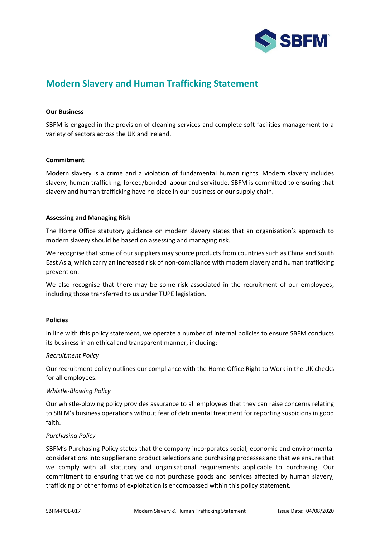

# **Modern Slavery and Human Trafficking Statement**

# **Our Business**

SBFM is engaged in the provision of cleaning services and complete soft facilities management to a variety of sectors across the UK and Ireland.

# **Commitment**

Modern slavery is a crime and a violation of fundamental human rights. Modern slavery includes slavery, human trafficking, forced/bonded labour and servitude. SBFM is committed to ensuring that slavery and human trafficking have no place in our business or our supply chain.

# **Assessing and Managing Risk**

The Home Office statutory guidance on modern slavery states that an organisation's approach to modern slavery should be based on assessing and managing risk.

We recognise that some of our suppliers may source products from countries such as China and South East Asia, which carry an increased risk of non-compliance with modern slavery and human trafficking prevention.

We also recognise that there may be some risk associated in the recruitment of our employees, including those transferred to us under TUPE legislation.

#### **Policies**

In line with this policy statement, we operate a number of internal policies to ensure SBFM conducts its business in an ethical and transparent manner, including:

#### *Recruitment Policy*

Our recruitment policy outlines our compliance with the Home Office Right to Work in the UK checks for all employees.

#### *Whistle-Blowing Policy*

Our whistle-blowing policy provides assurance to all employees that they can raise concerns relating to SBFM's business operations without fear of detrimental treatment for reporting suspicions in good faith.

#### *Purchasing Policy*

SBFM's Purchasing Policy states that the company incorporates social, economic and environmental considerations into supplier and product selections and purchasing processes and that we ensure that we comply with all statutory and organisational requirements applicable to purchasing. Our commitment to ensuring that we do not purchase goods and services affected by human slavery, trafficking or other forms of exploitation is encompassed within this policy statement.